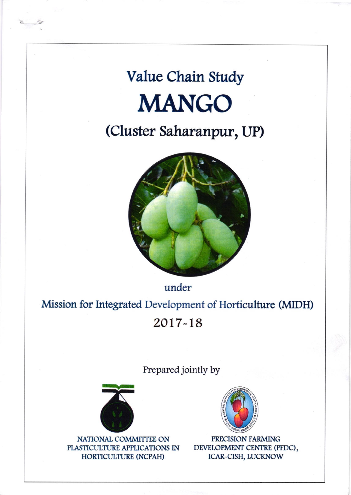## Value Chain Study **MANGO**

## (Cluster Saharanpur, UP)



under

Mission for Integrated Development of Horticulture (MIDH)

2017-18

Prepared jointly by



NATIONAL COMMITTEE ON PLASTICULTURE APPLICATIONS IN HORTICULTURE (NCPAH)



PRECISION FARMING DEVELOPMENT CENTRE (PFDC), ICAR-CISH, LUCKNOW